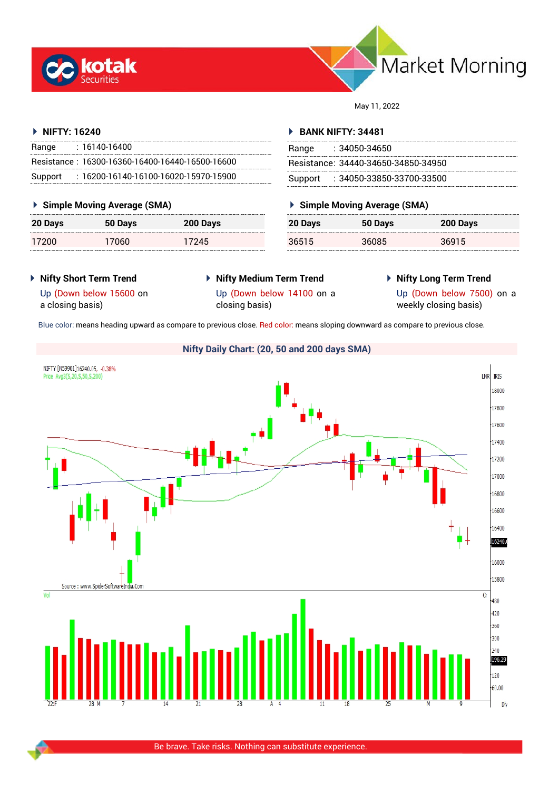



May 11, 2022

## **NIFTY: 16240**

| Range   | $: 16140 - 16400$                               |
|---------|-------------------------------------------------|
|         | Resistance: 16300-16360-16400-16440-16500-16600 |
| Support | $: 16200$ -16140-16100-16020-15970-15900        |

## **Simple Moving Average (SMA)**

| 20 Days | 50 Days | 200 Days |
|---------|---------|----------|
| 17200   | 17060   | 17245    |

## **BANK NIFTY: 34481**

| Range | : 34050-34650                       |
|-------|-------------------------------------|
|       | Resistance: 34440-34650-34850-34950 |
|       | Support : 34050-33850-33700-33500   |

# **Simple Moving Average (SMA)**

| 20 Days | 50 Days | 200 Days |
|---------|---------|----------|
| 36515   | 36085   | 36915    |

- **Nifty Short Term Trend**
- **Nifty Medium Term Trend**
- **Nifty Long Term Trend**

Up (Down below 15600 on a closing basis)

Up (Down below 14100 on a closing basis)

Up (Down below 7500) on a weekly closing basis)

Blue color: means heading upward as compare to previous close. Red color: means sloping downward as compare to previous close.

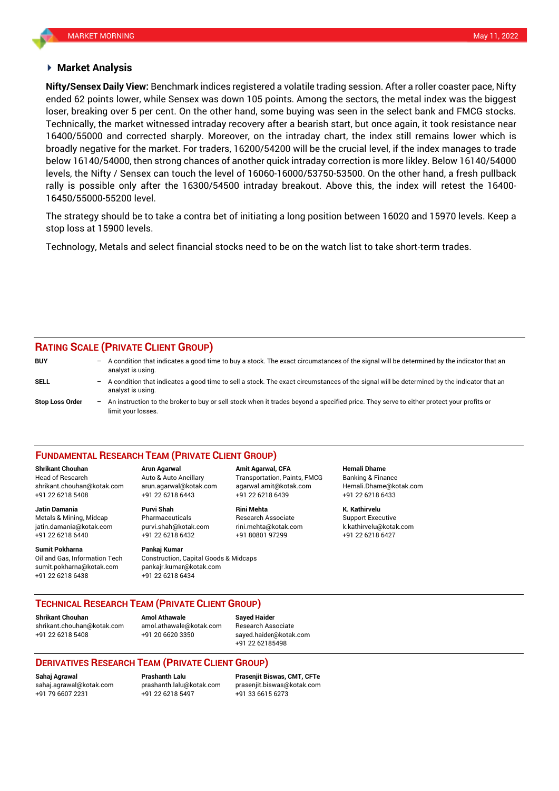## **Market Analysis**

ended 62 points lower, while Sensex was down 105 points. Among the sectors, the metal index was the biggest Technically, the market witnessed intraday recovery after a bearish start, but once again, it took resistance near **Nifty/Sensex Daily View:** Benchmark indices registered a volatile trading session. After a roller coaster pace, Nifty loser, breaking over 5 per cent. On the other hand, some buying was seen in the select bank and FMCG stocks. 16400/55000 and corrected sharply. Moreover, on the intraday chart, the index still remains lower which is broadly negative for the market. For traders, 16200/54200 will be the crucial level, if the index manages to trade below 16140/54000, then strong chances of another quick intraday correction is more likley. Below 16140/54000 levels, the Nifty / Sensex can touch the level of 16060-16000/53750-53500. On the other hand, a fresh pullback rally is possible only after the 16300/54500 intraday breakout. Above this, the index will retest the 16400- 16450/55000-55200 level.

The strategy should be to take a contra bet of initiating a long position between 16020 and 15970 levels. Keep a stop loss at 15900 levels.

Technology, Metals and select financial stocks need to be on the watch list to take short-term trades.

## **RATING SCALE (PRIVATE CLIENT GROUP)**

| <b>BUY</b>             | $-$ A condition that indicates a good time to buy a stock. The exact circumstances of the signal will be determined by the indicator that an<br>analyst is using. |
|------------------------|-------------------------------------------------------------------------------------------------------------------------------------------------------------------|
| SELL                   | - A condition that indicates a good time to sell a stock. The exact circumstances of the signal will be determined by the indicator that an<br>analyst is using.  |
| <b>Stop Loss Order</b> | - An instruction to the broker to buy or sell stock when it trades beyond a specified price. They serve to either protect your profits or<br>limit your losses.   |

### **FUNDAMENTAL RESEARCH TEAM (PRIVATE CLIENT GROUP)**

Head of Research Auto & Auto Ancillary Transportation, Paints, FMCG Banking & Finance [shrikant.chouhan@kotak.com](mailto:shrikant.chouhan@kotak.com) arun.agarwal@kotak.com agarwal.amit@kotak.com Hemali.Dhame@kotak.com

**Jatin Damania Purvi Shah Rini Mehta K. Kathirvelu** Metals & Mining, Midcap Pharmaceuticals Research Associate Support Executive jatin.damania@kotak.com [purvi.shah@kotak.com](mailto:purvi.shah@kotak.com) rini.mehta@kotak.com [k.kathirvelu@kotak.com](mailto:k.kathirvelu@kotak.com) +91 22 6218 6440 +91 22 6218 6432 +91 80801 97299 +91 22 6218 6427

**Sumit Pokharna** Pankaj Kumar Oil and Gas, Information Tech Construction, Capital Goods & Midcaps sumit.pokharna@kotak.com pankajr.kumar@kotak.com +91 22 6218 6438 +91 22 6218 6434

+91 22 6218 5408 +91 22 6218 6443 +91 22 6218 6439 +91 22 6218 6433

**Shrikant Chouhan Arun Agarwal Amit Agarwal, CFA Hemali Dhame**

**TECHNICAL RESEARCH TEAM (PRIVATE CLIENT GROUP)** 

**Shrikant Chouhan Amol Athawale Sayed Haider**

[shrikant.chouhan@kotak.com](mailto:shrikant.chouhan@kotak.com) [amol.athawale@kotak.com](mailto:amol.athawale@kotak.com) Research Associate +91 22 6218 5408 +91 20 6620 3350 [sayed.haider@kotak.com](mailto:sayed.haider@kotak.com)

+91 22 62185498

## **DERIVATIVES RESEARCH TEAM (PRIVATE CLIENT GROUP)**

+91 79 6607 2231 +91 22 6218 5497 +91 33 6615 6273

**Sahaj Agrawal Prashanth Lalu Prasenjit Biswas, CMT, CFTe** [sahaj.agrawal@kotak.com](mailto:sahaj.agrawal@kotak.com) [prashanth.lalu@kotak.com](mailto:prashanth.lalu@kotak.com) [prasenjit.biswas@kotak.com](mailto:prasenjit.biswas@kotak.com)